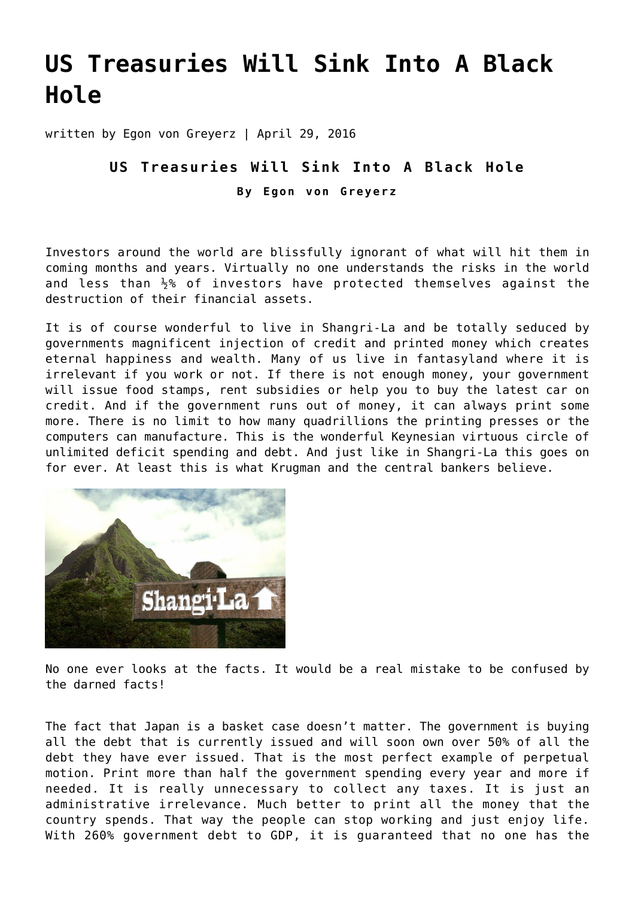## **[US Treasuries Will Sink Into A Black](https://goldswitzerland.com/us-treasuries-will-sink-into-a-black-hole/) [Hole](https://goldswitzerland.com/us-treasuries-will-sink-into-a-black-hole/)**

written by Egon von Greyerz | April 29, 2016

## **US Treasuries Will Sink Into A Black Hole By Egon von Greyerz**

Investors around the world are blissfully ignorant of what will hit them in coming months and years. Virtually no one understands the risks in the world and less than  $\frac{1}{2}$ % of investors have protected themselves against the destruction of their financial assets.

It is of course wonderful to live in Shangri-La and be totally seduced by governments magnificent injection of credit and printed money which creates eternal happiness and wealth. Many of us live in fantasyland where it is irrelevant if you work or not. If there is not enough money, your government will issue food stamps, rent subsidies or help you to buy the latest car on credit. And if the government runs out of money, it can always print some more. There is no limit to how many quadrillions the printing presses or the computers can manufacture. This is the wonderful Keynesian virtuous circle of unlimited deficit spending and debt. And just like in Shangri-La this goes on for ever. At least this is what Krugman and the central bankers believe.



No one ever looks at the facts. It would be a real mistake to be confused by the darned facts!

The fact that Japan is a basket case doesn't matter. The government is buying all the debt that is currently issued and will soon own over 50% of all the debt they have ever issued. That is the most perfect example of perpetual motion. Print more than half the government spending every year and more if needed. It is really unnecessary to collect any taxes. It is just an administrative irrelevance. Much better to print all the money that the country spends. That way the people can stop working and just enjoy life. With 260% government debt to GDP, it is guaranteed that no one has the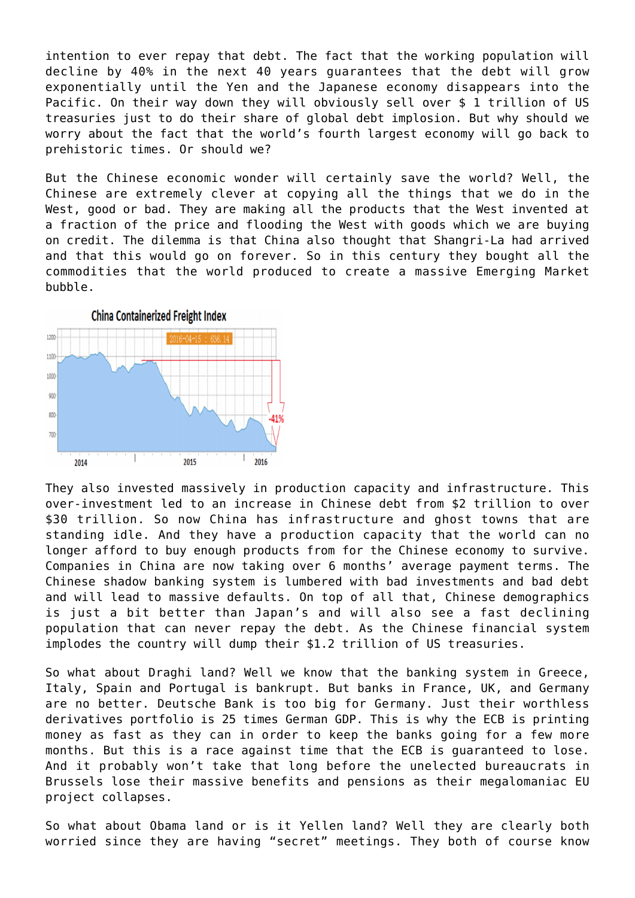intention to ever repay that debt. The fact that the working population will decline by 40% in the next 40 years guarantees that the debt will grow exponentially until the Yen and the Japanese economy disappears into the Pacific. On their way down they will obviously sell over \$ 1 trillion of US treasuries just to do their share of global debt implosion. But why should we worry about the fact that the world's fourth largest economy will go back to prehistoric times. Or should we?

But the Chinese economic wonder will certainly save the world? Well, the Chinese are extremely clever at copying all the things that we do in the West, good or bad. They are making all the products that the West invented at a fraction of the price and flooding the West with goods which we are buying on credit. The dilemma is that China also thought that Shangri-La had arrived and that this would go on forever. So in this century they bought all the commodities that the world produced to create a massive Emerging Market bubble.



They also invested massively in production capacity and infrastructure. This over-investment led to an increase in Chinese debt from \$2 trillion to over \$30 trillion. So now China has infrastructure and ghost towns that are standing idle. And they have a production capacity that the world can no longer afford to buy enough products from for the Chinese economy to survive. Companies in China are now taking over 6 months' average payment terms. The Chinese shadow banking system is lumbered with bad investments and bad debt and will lead to massive defaults. On top of all that, Chinese demographics is just a bit better than Japan's and will also see a fast declining population that can never repay the debt. As the Chinese financial system implodes the country will dump their \$1.2 trillion of US treasuries.

So what about Draghi land? Well we know that the banking system in Greece, Italy, Spain and Portugal is bankrupt. But banks in France, UK, and Germany are no better. Deutsche Bank is too big for Germany. Just their worthless derivatives portfolio is 25 times German GDP. This is why the ECB is printing money as fast as they can in order to keep the banks going for a few more months. But this is a race against time that the ECB is guaranteed to lose. And it probably won't take that long before the unelected bureaucrats in Brussels lose their massive benefits and pensions as their megalomaniac EU project collapses.

So what about Obama land or is it Yellen land? Well they are clearly both worried since they are having "secret" meetings. They both of course know